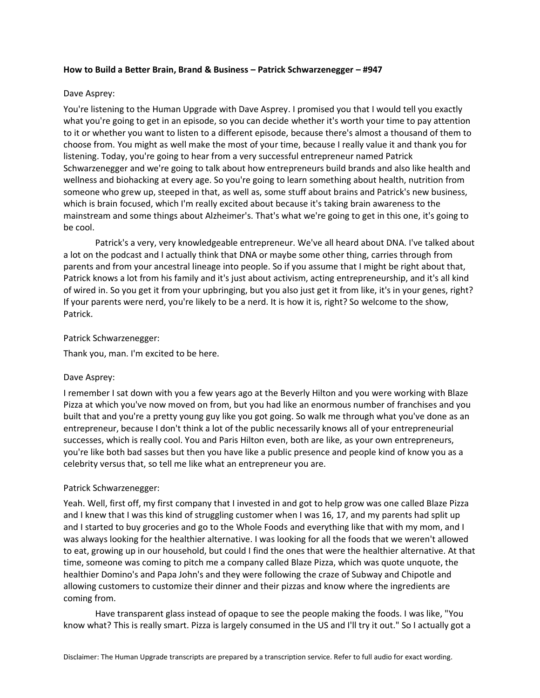## **How to Build a Better Brain, Brand & Business – Patrick Schwarzenegger – #947**

# Dave Asprey:

You're listening to the Human Upgrade with Dave Asprey. I promised you that I would tell you exactly what you're going to get in an episode, so you can decide whether it's worth your time to pay attention to it or whether you want to listen to a different episode, because there's almost a thousand of them to choose from. You might as well make the most of your time, because I really value it and thank you for listening. Today, you're going to hear from a very successful entrepreneur named Patrick Schwarzenegger and we're going to talk about how entrepreneurs build brands and also like health and wellness and biohacking at every age. So you're going to learn something about health, nutrition from someone who grew up, steeped in that, as well as, some stuff about brains and Patrick's new business, which is brain focused, which I'm really excited about because it's taking brain awareness to the mainstream and some things about Alzheimer's. That's what we're going to get in this one, it's going to be cool.

Patrick's a very, very knowledgeable entrepreneur. We've all heard about DNA. I've talked about a lot on the podcast and I actually think that DNA or maybe some other thing, carries through from parents and from your ancestral lineage into people. So if you assume that I might be right about that, Patrick knows a lot from his family and it's just about activism, acting entrepreneurship, and it's all kind of wired in. So you get it from your upbringing, but you also just get it from like, it's in your genes, right? If your parents were nerd, you're likely to be a nerd. It is how it is, right? So welcome to the show, Patrick.

# Patrick Schwarzenegger:

Thank you, man. I'm excited to be here.

## Dave Asprey:

I remember I sat down with you a few years ago at the Beverly Hilton and you were working with Blaze Pizza at which you've now moved on from, but you had like an enormous number of franchises and you built that and you're a pretty young guy like you got going. So walk me through what you've done as an entrepreneur, because I don't think a lot of the public necessarily knows all of your entrepreneurial successes, which is really cool. You and Paris Hilton even, both are like, as your own entrepreneurs, you're like both bad sasses but then you have like a public presence and people kind of know you as a celebrity versus that, so tell me like what an entrepreneur you are.

## Patrick Schwarzenegger:

Yeah. Well, first off, my first company that I invested in and got to help grow was one called Blaze Pizza and I knew that I was this kind of struggling customer when I was 16, 17, and my parents had split up and I started to buy groceries and go to the Whole Foods and everything like that with my mom, and I was always looking for the healthier alternative. I was looking for all the foods that we weren't allowed to eat, growing up in our household, but could I find the ones that were the healthier alternative. At that time, someone was coming to pitch me a company called Blaze Pizza, which was quote unquote, the healthier Domino's and Papa John's and they were following the craze of Subway and Chipotle and allowing customers to customize their dinner and their pizzas and know where the ingredients are coming from.

Have transparent glass instead of opaque to see the people making the foods. I was like, "You know what? This is really smart. Pizza is largely consumed in the US and I'll try it out." So I actually got a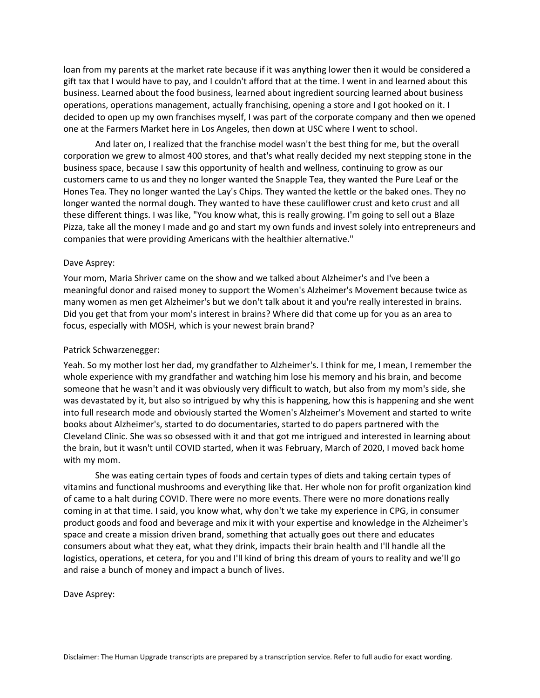loan from my parents at the market rate because if it was anything lower then it would be considered a gift tax that I would have to pay, and I couldn't afford that at the time. I went in and learned about this business. Learned about the food business, learned about ingredient sourcing learned about business operations, operations management, actually franchising, opening a store and I got hooked on it. I decided to open up my own franchises myself, I was part of the corporate company and then we opened one at the Farmers Market here in Los Angeles, then down at USC where I went to school.

And later on, I realized that the franchise model wasn't the best thing for me, but the overall corporation we grew to almost 400 stores, and that's what really decided my next stepping stone in the business space, because I saw this opportunity of health and wellness, continuing to grow as our customers came to us and they no longer wanted the Snapple Tea, they wanted the Pure Leaf or the Hones Tea. They no longer wanted the Lay's Chips. They wanted the kettle or the baked ones. They no longer wanted the normal dough. They wanted to have these cauliflower crust and keto crust and all these different things. I was like, "You know what, this is really growing. I'm going to sell out a Blaze Pizza, take all the money I made and go and start my own funds and invest solely into entrepreneurs and companies that were providing Americans with the healthier alternative."

## Dave Asprey:

Your mom, Maria Shriver came on the show and we talked about Alzheimer's and I've been a meaningful donor and raised money to support the Women's Alzheimer's Movement because twice as many women as men get Alzheimer's but we don't talk about it and you're really interested in brains. Did you get that from your mom's interest in brains? Where did that come up for you as an area to focus, especially with MOSH, which is your newest brain brand?

## Patrick Schwarzenegger:

Yeah. So my mother lost her dad, my grandfather to Alzheimer's. I think for me, I mean, I remember the whole experience with my grandfather and watching him lose his memory and his brain, and become someone that he wasn't and it was obviously very difficult to watch, but also from my mom's side, she was devastated by it, but also so intrigued by why this is happening, how this is happening and she went into full research mode and obviously started the Women's Alzheimer's Movement and started to write books about Alzheimer's, started to do documentaries, started to do papers partnered with the Cleveland Clinic. She was so obsessed with it and that got me intrigued and interested in learning about the brain, but it wasn't until COVID started, when it was February, March of 2020, I moved back home with my mom.

She was eating certain types of foods and certain types of diets and taking certain types of vitamins and functional mushrooms and everything like that. Her whole non for profit organization kind of came to a halt during COVID. There were no more events. There were no more donations really coming in at that time. I said, you know what, why don't we take my experience in CPG, in consumer product goods and food and beverage and mix it with your expertise and knowledge in the Alzheimer's space and create a mission driven brand, something that actually goes out there and educates consumers about what they eat, what they drink, impacts their brain health and I'll handle all the logistics, operations, et cetera, for you and I'll kind of bring this dream of yours to reality and we'll go and raise a bunch of money and impact a bunch of lives.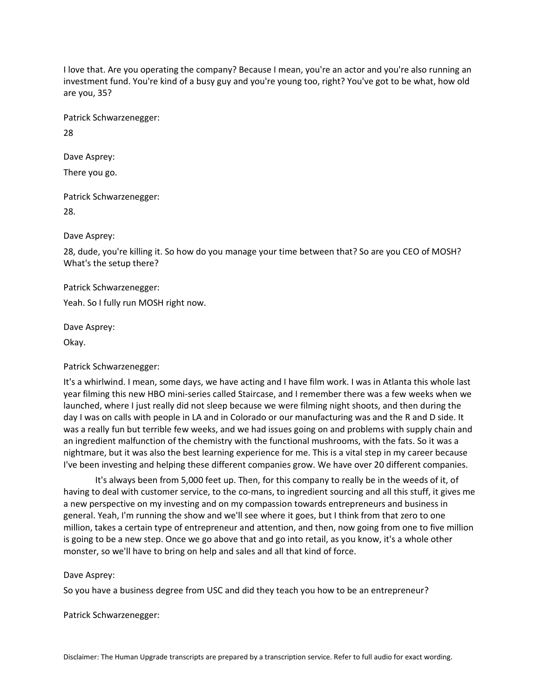I love that. Are you operating the company? Because I mean, you're an actor and you're also running an investment fund. You're kind of a busy guy and you're young too, right? You've got to be what, how old are you, 35?

Patrick Schwarzenegger:

28

Dave Asprey: There you go.

Patrick Schwarzenegger:

28.

Dave Asprey:

28, dude, you're killing it. So how do you manage your time between that? So are you CEO of MOSH? What's the setup there?

Patrick Schwarzenegger:

Yeah. So I fully run MOSH right now.

Dave Asprey:

Okay.

# Patrick Schwarzenegger:

It's a whirlwind. I mean, some days, we have acting and I have film work. I was in Atlanta this whole last year filming this new HBO mini-series called Staircase, and I remember there was a few weeks when we launched, where I just really did not sleep because we were filming night shoots, and then during the day I was on calls with people in LA and in Colorado or our manufacturing was and the R and D side. It was a really fun but terrible few weeks, and we had issues going on and problems with supply chain and an ingredient malfunction of the chemistry with the functional mushrooms, with the fats. So it was a nightmare, but it was also the best learning experience for me. This is a vital step in my career because I've been investing and helping these different companies grow. We have over 20 different companies.

It's always been from 5,000 feet up. Then, for this company to really be in the weeds of it, of having to deal with customer service, to the co-mans, to ingredient sourcing and all this stuff, it gives me a new perspective on my investing and on my compassion towards entrepreneurs and business in general. Yeah, I'm running the show and we'll see where it goes, but I think from that zero to one million, takes a certain type of entrepreneur and attention, and then, now going from one to five million is going to be a new step. Once we go above that and go into retail, as you know, it's a whole other monster, so we'll have to bring on help and sales and all that kind of force.

# Dave Asprey:

So you have a business degree from USC and did they teach you how to be an entrepreneur?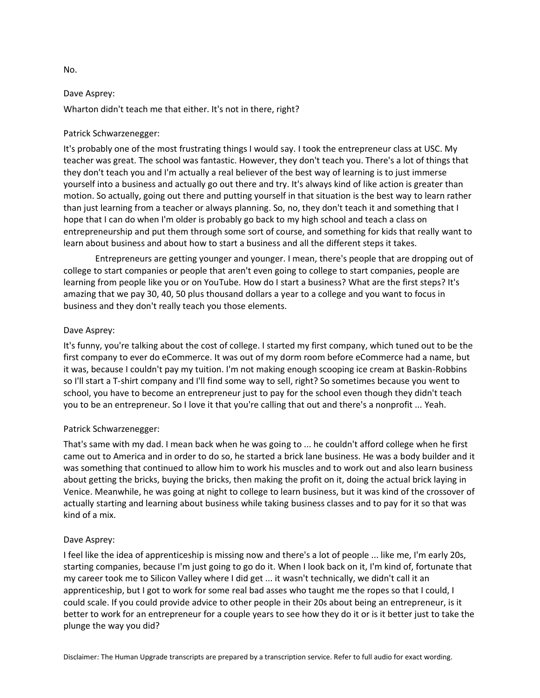Wharton didn't teach me that either. It's not in there, right?

# Patrick Schwarzenegger:

It's probably one of the most frustrating things I would say. I took the entrepreneur class at USC. My teacher was great. The school was fantastic. However, they don't teach you. There's a lot of things that they don't teach you and I'm actually a real believer of the best way of learning is to just immerse yourself into a business and actually go out there and try. It's always kind of like action is greater than motion. So actually, going out there and putting yourself in that situation is the best way to learn rather than just learning from a teacher or always planning. So, no, they don't teach it and something that I hope that I can do when I'm older is probably go back to my high school and teach a class on entrepreneurship and put them through some sort of course, and something for kids that really want to learn about business and about how to start a business and all the different steps it takes.

Entrepreneurs are getting younger and younger. I mean, there's people that are dropping out of college to start companies or people that aren't even going to college to start companies, people are learning from people like you or on YouTube. How do I start a business? What are the first steps? It's amazing that we pay 30, 40, 50 plus thousand dollars a year to a college and you want to focus in business and they don't really teach you those elements.

# Dave Asprey:

It's funny, you're talking about the cost of college. I started my first company, which tuned out to be the first company to ever do eCommerce. It was out of my dorm room before eCommerce had a name, but it was, because I couldn't pay my tuition. I'm not making enough scooping ice cream at Baskin-Robbins so I'll start a T-shirt company and I'll find some way to sell, right? So sometimes because you went to school, you have to become an entrepreneur just to pay for the school even though they didn't teach you to be an entrepreneur. So I love it that you're calling that out and there's a nonprofit ... Yeah.

# Patrick Schwarzenegger:

That's same with my dad. I mean back when he was going to ... he couldn't afford college when he first came out to America and in order to do so, he started a brick lane business. He was a body builder and it was something that continued to allow him to work his muscles and to work out and also learn business about getting the bricks, buying the bricks, then making the profit on it, doing the actual brick laying in Venice. Meanwhile, he was going at night to college to learn business, but it was kind of the crossover of actually starting and learning about business while taking business classes and to pay for it so that was kind of a mix.

# Dave Asprey:

I feel like the idea of apprenticeship is missing now and there's a lot of people ... like me, I'm early 20s, starting companies, because I'm just going to go do it. When I look back on it, I'm kind of, fortunate that my career took me to Silicon Valley where I did get ... it wasn't technically, we didn't call it an apprenticeship, but I got to work for some real bad asses who taught me the ropes so that I could, I could scale. If you could provide advice to other people in their 20s about being an entrepreneur, is it better to work for an entrepreneur for a couple years to see how they do it or is it better just to take the plunge the way you did?

No.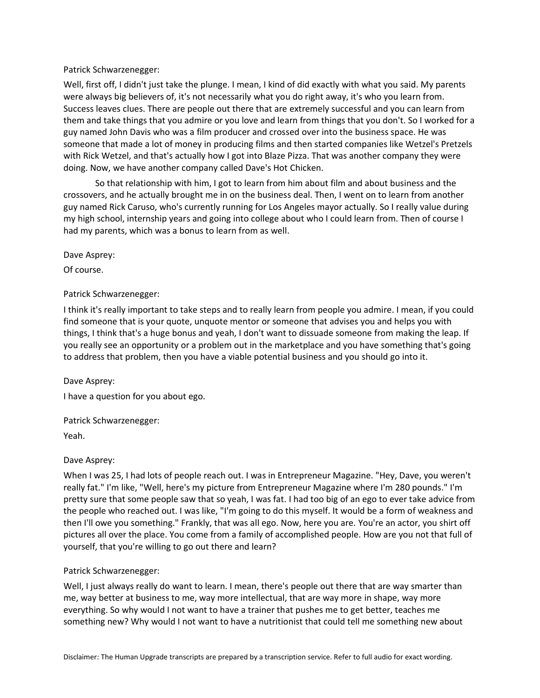# Patrick Schwarzenegger:

Well, first off, I didn't just take the plunge. I mean, I kind of did exactly with what you said. My parents were always big believers of, it's not necessarily what you do right away, it's who you learn from. Success leaves clues. There are people out there that are extremely successful and you can learn from them and take things that you admire or you love and learn from things that you don't. So I worked for a guy named John Davis who was a film producer and crossed over into the business space. He was someone that made a lot of money in producing films and then started companies like Wetzel's Pretzels with Rick Wetzel, and that's actually how I got into Blaze Pizza. That was another company they were doing. Now, we have another company called Dave's Hot Chicken.

So that relationship with him, I got to learn from him about film and about business and the crossovers, and he actually brought me in on the business deal. Then, I went on to learn from another guy named Rick Caruso, who's currently running for Los Angeles mayor actually. So I really value during my high school, internship years and going into college about who I could learn from. Then of course I had my parents, which was a bonus to learn from as well.

Dave Asprey:

Of course.

# Patrick Schwarzenegger:

I think it's really important to take steps and to really learn from people you admire. I mean, if you could find someone that is your quote, unquote mentor or someone that advises you and helps you with things, I think that's a huge bonus and yeah, I don't want to dissuade someone from making the leap. If you really see an opportunity or a problem out in the marketplace and you have something that's going to address that problem, then you have a viable potential business and you should go into it.

Dave Asprey:

I have a question for you about ego.

## Patrick Schwarzenegger:

Yeah.

# Dave Asprey:

When I was 25, I had lots of people reach out. I was in Entrepreneur Magazine. "Hey, Dave, you weren't really fat." I'm like, "Well, here's my picture from Entrepreneur Magazine where I'm 280 pounds." I'm pretty sure that some people saw that so yeah, I was fat. I had too big of an ego to ever take advice from the people who reached out. I was like, "I'm going to do this myself. It would be a form of weakness and then I'll owe you something." Frankly, that was all ego. Now, here you are. You're an actor, you shirt off pictures all over the place. You come from a family of accomplished people. How are you not that full of yourself, that you're willing to go out there and learn?

# Patrick Schwarzenegger:

Well, I just always really do want to learn. I mean, there's people out there that are way smarter than me, way better at business to me, way more intellectual, that are way more in shape, way more everything. So why would I not want to have a trainer that pushes me to get better, teaches me something new? Why would I not want to have a nutritionist that could tell me something new about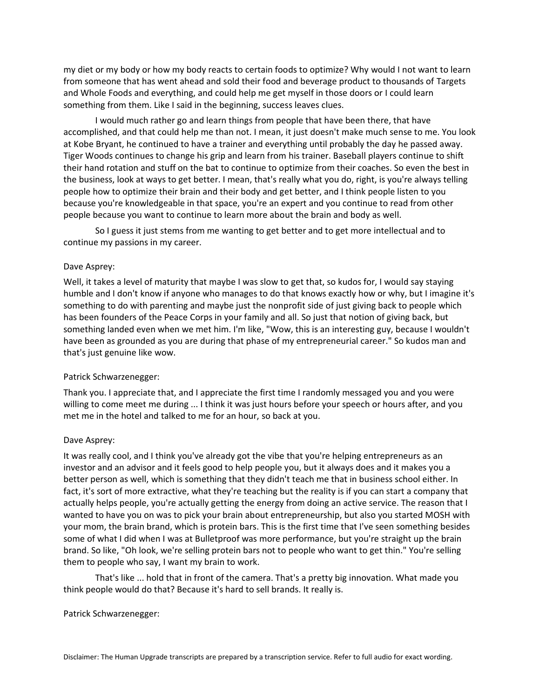my diet or my body or how my body reacts to certain foods to optimize? Why would I not want to learn from someone that has went ahead and sold their food and beverage product to thousands of Targets and Whole Foods and everything, and could help me get myself in those doors or I could learn something from them. Like I said in the beginning, success leaves clues.

I would much rather go and learn things from people that have been there, that have accomplished, and that could help me than not. I mean, it just doesn't make much sense to me. You look at Kobe Bryant, he continued to have a trainer and everything until probably the day he passed away. Tiger Woods continues to change his grip and learn from his trainer. Baseball players continue to shift their hand rotation and stuff on the bat to continue to optimize from their coaches. So even the best in the business, look at ways to get better. I mean, that's really what you do, right, is you're always telling people how to optimize their brain and their body and get better, and I think people listen to you because you're knowledgeable in that space, you're an expert and you continue to read from other people because you want to continue to learn more about the brain and body as well.

So I guess it just stems from me wanting to get better and to get more intellectual and to continue my passions in my career.

## Dave Asprey:

Well, it takes a level of maturity that maybe I was slow to get that, so kudos for, I would say staying humble and I don't know if anyone who manages to do that knows exactly how or why, but I imagine it's something to do with parenting and maybe just the nonprofit side of just giving back to people which has been founders of the Peace Corps in your family and all. So just that notion of giving back, but something landed even when we met him. I'm like, "Wow, this is an interesting guy, because I wouldn't have been as grounded as you are during that phase of my entrepreneurial career." So kudos man and that's just genuine like wow.

## Patrick Schwarzenegger:

Thank you. I appreciate that, and I appreciate the first time I randomly messaged you and you were willing to come meet me during ... I think it was just hours before your speech or hours after, and you met me in the hotel and talked to me for an hour, so back at you.

# Dave Asprey:

It was really cool, and I think you've already got the vibe that you're helping entrepreneurs as an investor and an advisor and it feels good to help people you, but it always does and it makes you a better person as well, which is something that they didn't teach me that in business school either. In fact, it's sort of more extractive, what they're teaching but the reality is if you can start a company that actually helps people, you're actually getting the energy from doing an active service. The reason that I wanted to have you on was to pick your brain about entrepreneurship, but also you started MOSH with your mom, the brain brand, which is protein bars. This is the first time that I've seen something besides some of what I did when I was at Bulletproof was more performance, but you're straight up the brain brand. So like, "Oh look, we're selling protein bars not to people who want to get thin." You're selling them to people who say, I want my brain to work.

That's like ... hold that in front of the camera. That's a pretty big innovation. What made you think people would do that? Because it's hard to sell brands. It really is.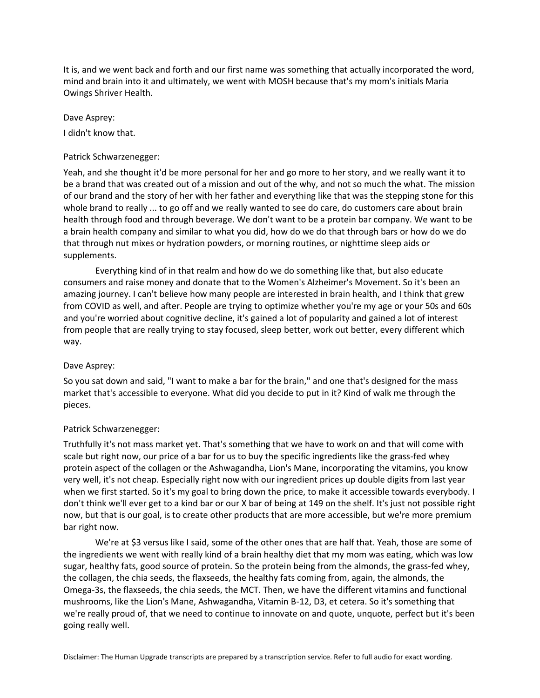It is, and we went back and forth and our first name was something that actually incorporated the word, mind and brain into it and ultimately, we went with MOSH because that's my mom's initials Maria Owings Shriver Health.

## Dave Asprey:

I didn't know that.

# Patrick Schwarzenegger:

Yeah, and she thought it'd be more personal for her and go more to her story, and we really want it to be a brand that was created out of a mission and out of the why, and not so much the what. The mission of our brand and the story of her with her father and everything like that was the stepping stone for this whole brand to really ... to go off and we really wanted to see do care, do customers care about brain health through food and through beverage. We don't want to be a protein bar company. We want to be a brain health company and similar to what you did, how do we do that through bars or how do we do that through nut mixes or hydration powders, or morning routines, or nighttime sleep aids or supplements.

Everything kind of in that realm and how do we do something like that, but also educate consumers and raise money and donate that to the Women's Alzheimer's Movement. So it's been an amazing journey. I can't believe how many people are interested in brain health, and I think that grew from COVID as well, and after. People are trying to optimize whether you're my age or your 50s and 60s and you're worried about cognitive decline, it's gained a lot of popularity and gained a lot of interest from people that are really trying to stay focused, sleep better, work out better, every different which way.

## Dave Asprey:

So you sat down and said, "I want to make a bar for the brain," and one that's designed for the mass market that's accessible to everyone. What did you decide to put in it? Kind of walk me through the pieces.

# Patrick Schwarzenegger:

Truthfully it's not mass market yet. That's something that we have to work on and that will come with scale but right now, our price of a bar for us to buy the specific ingredients like the grass-fed whey protein aspect of the collagen or the Ashwagandha, Lion's Mane, incorporating the vitamins, you know very well, it's not cheap. Especially right now with our ingredient prices up double digits from last year when we first started. So it's my goal to bring down the price, to make it accessible towards everybody. I don't think we'll ever get to a kind bar or our X bar of being at 149 on the shelf. It's just not possible right now, but that is our goal, is to create other products that are more accessible, but we're more premium bar right now.

We're at \$3 versus like I said, some of the other ones that are half that. Yeah, those are some of the ingredients we went with really kind of a brain healthy diet that my mom was eating, which was low sugar, healthy fats, good source of protein. So the protein being from the almonds, the grass-fed whey, the collagen, the chia seeds, the flaxseeds, the healthy fats coming from, again, the almonds, the Omega-3s, the flaxseeds, the chia seeds, the MCT. Then, we have the different vitamins and functional mushrooms, like the Lion's Mane, Ashwagandha, Vitamin B-12, D3, et cetera. So it's something that we're really proud of, that we need to continue to innovate on and quote, unquote, perfect but it's been going really well.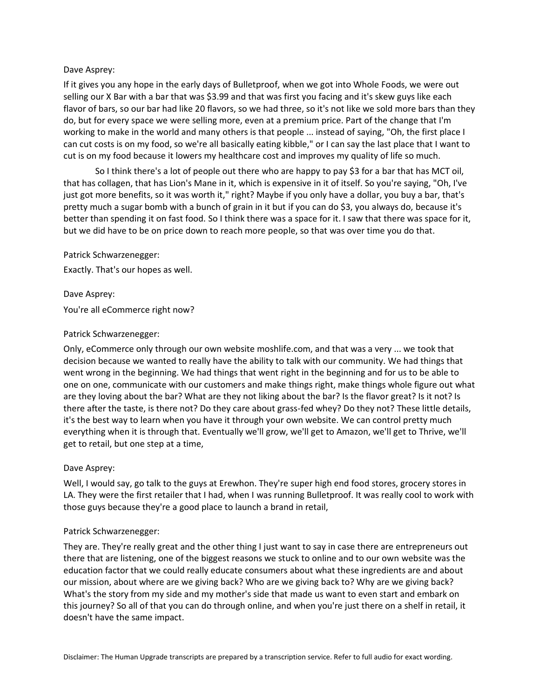If it gives you any hope in the early days of Bulletproof, when we got into Whole Foods, we were out selling our X Bar with a bar that was \$3.99 and that was first you facing and it's skew guys like each flavor of bars, so our bar had like 20 flavors, so we had three, so it's not like we sold more bars than they do, but for every space we were selling more, even at a premium price. Part of the change that I'm working to make in the world and many others is that people ... instead of saying, "Oh, the first place I can cut costs is on my food, so we're all basically eating kibble," or I can say the last place that I want to cut is on my food because it lowers my healthcare cost and improves my quality of life so much.

So I think there's a lot of people out there who are happy to pay \$3 for a bar that has MCT oil, that has collagen, that has Lion's Mane in it, which is expensive in it of itself. So you're saying, "Oh, I've just got more benefits, so it was worth it," right? Maybe if you only have a dollar, you buy a bar, that's pretty much a sugar bomb with a bunch of grain in it but if you can do \$3, you always do, because it's better than spending it on fast food. So I think there was a space for it. I saw that there was space for it, but we did have to be on price down to reach more people, so that was over time you do that.

Patrick Schwarzenegger:

Exactly. That's our hopes as well.

Dave Asprey: You're all eCommerce right now?

# Patrick Schwarzenegger:

Only, eCommerce only through our own website moshlife.com, and that was a very ... we took that decision because we wanted to really have the ability to talk with our community. We had things that went wrong in the beginning. We had things that went right in the beginning and for us to be able to one on one, communicate with our customers and make things right, make things whole figure out what are they loving about the bar? What are they not liking about the bar? Is the flavor great? Is it not? Is there after the taste, is there not? Do they care about grass-fed whey? Do they not? These little details, it's the best way to learn when you have it through your own website. We can control pretty much everything when it is through that. Eventually we'll grow, we'll get to Amazon, we'll get to Thrive, we'll get to retail, but one step at a time,

# Dave Asprey:

Well, I would say, go talk to the guys at Erewhon. They're super high end food stores, grocery stores in LA. They were the first retailer that I had, when I was running Bulletproof. It was really cool to work with those guys because they're a good place to launch a brand in retail,

# Patrick Schwarzenegger:

They are. They're really great and the other thing I just want to say in case there are entrepreneurs out there that are listening, one of the biggest reasons we stuck to online and to our own website was the education factor that we could really educate consumers about what these ingredients are and about our mission, about where are we giving back? Who are we giving back to? Why are we giving back? What's the story from my side and my mother's side that made us want to even start and embark on this journey? So all of that you can do through online, and when you're just there on a shelf in retail, it doesn't have the same impact.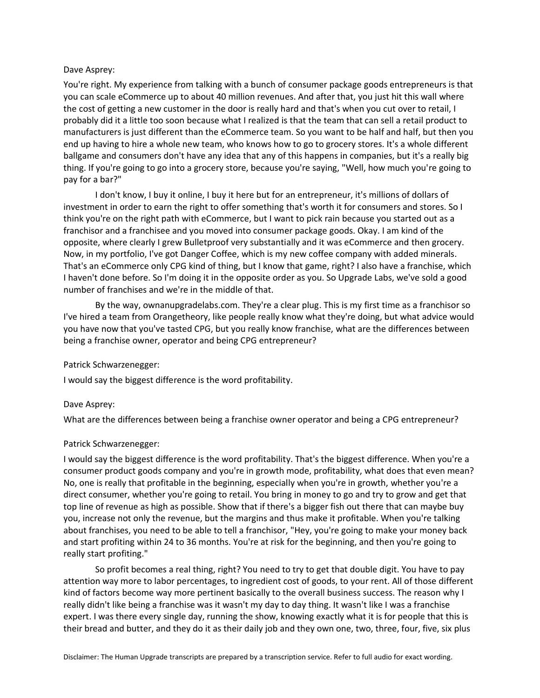You're right. My experience from talking with a bunch of consumer package goods entrepreneurs is that you can scale eCommerce up to about 40 million revenues. And after that, you just hit this wall where the cost of getting a new customer in the door is really hard and that's when you cut over to retail, I probably did it a little too soon because what I realized is that the team that can sell a retail product to manufacturers is just different than the eCommerce team. So you want to be half and half, but then you end up having to hire a whole new team, who knows how to go to grocery stores. It's a whole different ballgame and consumers don't have any idea that any of this happens in companies, but it's a really big thing. If you're going to go into a grocery store, because you're saying, "Well, how much you're going to pay for a bar?"

I don't know, I buy it online, I buy it here but for an entrepreneur, it's millions of dollars of investment in order to earn the right to offer something that's worth it for consumers and stores. So I think you're on the right path with eCommerce, but I want to pick rain because you started out as a franchisor and a franchisee and you moved into consumer package goods. Okay. I am kind of the opposite, where clearly I grew Bulletproof very substantially and it was eCommerce and then grocery. Now, in my portfolio, I've got Danger Coffee, which is my new coffee company with added minerals. That's an eCommerce only CPG kind of thing, but I know that game, right? I also have a franchise, which I haven't done before. So I'm doing it in the opposite order as you. So Upgrade Labs, we've sold a good number of franchises and we're in the middle of that.

By the way, ownanupgradelabs.com. They're a clear plug. This is my first time as a franchisor so I've hired a team from Orangetheory, like people really know what they're doing, but what advice would you have now that you've tasted CPG, but you really know franchise, what are the differences between being a franchise owner, operator and being CPG entrepreneur?

#### Patrick Schwarzenegger:

I would say the biggest difference is the word profitability.

#### Dave Asprey:

What are the differences between being a franchise owner operator and being a CPG entrepreneur?

#### Patrick Schwarzenegger:

I would say the biggest difference is the word profitability. That's the biggest difference. When you're a consumer product goods company and you're in growth mode, profitability, what does that even mean? No, one is really that profitable in the beginning, especially when you're in growth, whether you're a direct consumer, whether you're going to retail. You bring in money to go and try to grow and get that top line of revenue as high as possible. Show that if there's a bigger fish out there that can maybe buy you, increase not only the revenue, but the margins and thus make it profitable. When you're talking about franchises, you need to be able to tell a franchisor, "Hey, you're going to make your money back and start profiting within 24 to 36 months. You're at risk for the beginning, and then you're going to really start profiting."

So profit becomes a real thing, right? You need to try to get that double digit. You have to pay attention way more to labor percentages, to ingredient cost of goods, to your rent. All of those different kind of factors become way more pertinent basically to the overall business success. The reason why I really didn't like being a franchise was it wasn't my day to day thing. It wasn't like I was a franchise expert. I was there every single day, running the show, knowing exactly what it is for people that this is their bread and butter, and they do it as their daily job and they own one, two, three, four, five, six plus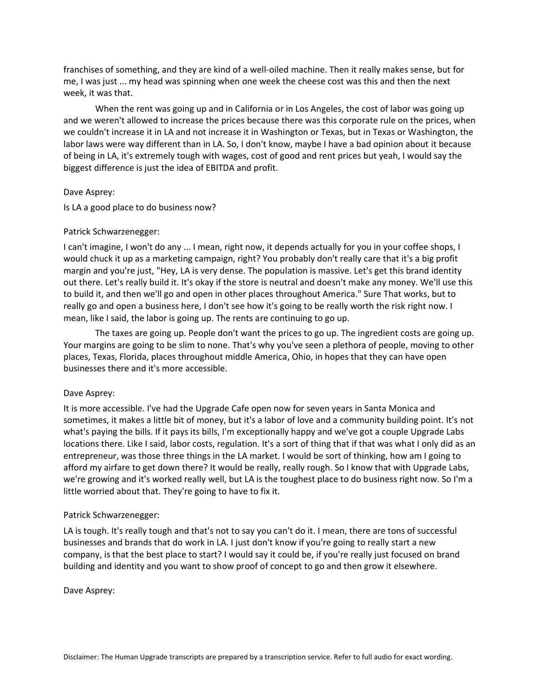franchises of something, and they are kind of a well-oiled machine. Then it really makes sense, but for me, I was just ... my head was spinning when one week the cheese cost was this and then the next week, it was that.

When the rent was going up and in California or in Los Angeles, the cost of labor was going up and we weren't allowed to increase the prices because there was this corporate rule on the prices, when we couldn't increase it in LA and not increase it in Washington or Texas, but in Texas or Washington, the labor laws were way different than in LA. So, I don't know, maybe I have a bad opinion about it because of being in LA, it's extremely tough with wages, cost of good and rent prices but yeah, I would say the biggest difference is just the idea of EBITDA and profit.

## Dave Asprey:

Is LA a good place to do business now?

# Patrick Schwarzenegger:

I can't imagine, I won't do any ... I mean, right now, it depends actually for you in your coffee shops, I would chuck it up as a marketing campaign, right? You probably don't really care that it's a big profit margin and you're just, "Hey, LA is very dense. The population is massive. Let's get this brand identity out there. Let's really build it. It's okay if the store is neutral and doesn't make any money. We'll use this to build it, and then we'll go and open in other places throughout America." Sure That works, but to really go and open a business here, I don't see how it's going to be really worth the risk right now. I mean, like I said, the labor is going up. The rents are continuing to go up.

The taxes are going up. People don't want the prices to go up. The ingredient costs are going up. Your margins are going to be slim to none. That's why you've seen a plethora of people, moving to other places, Texas, Florida, places throughout middle America, Ohio, in hopes that they can have open businesses there and it's more accessible.

## Dave Asprey:

It is more accessible. I've had the Upgrade Cafe open now for seven years in Santa Monica and sometimes, it makes a little bit of money, but it's a labor of love and a community building point. It's not what's paying the bills. If it pays its bills, I'm exceptionally happy and we've got a couple Upgrade Labs locations there. Like I said, labor costs, regulation. It's a sort of thing that if that was what I only did as an entrepreneur, was those three things in the LA market. I would be sort of thinking, how am I going to afford my airfare to get down there? It would be really, really rough. So I know that with Upgrade Labs, we're growing and it's worked really well, but LA is the toughest place to do business right now. So I'm a little worried about that. They're going to have to fix it.

## Patrick Schwarzenegger:

LA is tough. It's really tough and that's not to say you can't do it. I mean, there are tons of successful businesses and brands that do work in LA. I just don't know if you're going to really start a new company, is that the best place to start? I would say it could be, if you're really just focused on brand building and identity and you want to show proof of concept to go and then grow it elsewhere.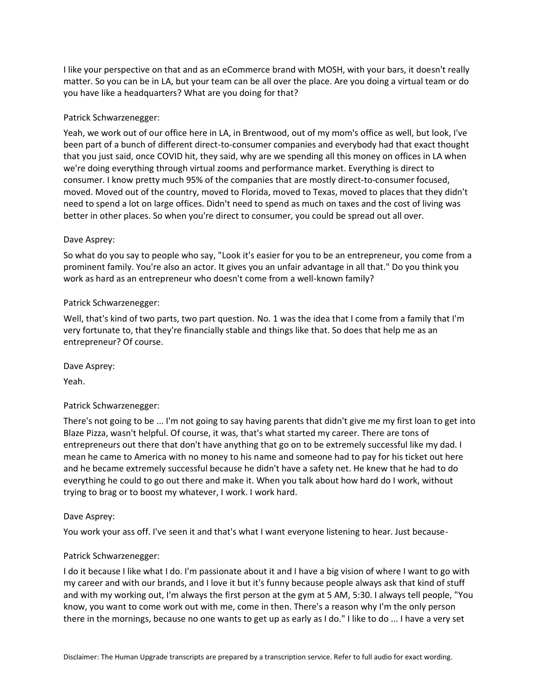I like your perspective on that and as an eCommerce brand with MOSH, with your bars, it doesn't really matter. So you can be in LA, but your team can be all over the place. Are you doing a virtual team or do you have like a headquarters? What are you doing for that?

# Patrick Schwarzenegger:

Yeah, we work out of our office here in LA, in Brentwood, out of my mom's office as well, but look, I've been part of a bunch of different direct-to-consumer companies and everybody had that exact thought that you just said, once COVID hit, they said, why are we spending all this money on offices in LA when we're doing everything through virtual zooms and performance market. Everything is direct to consumer. I know pretty much 95% of the companies that are mostly direct-to-consumer focused, moved. Moved out of the country, moved to Florida, moved to Texas, moved to places that they didn't need to spend a lot on large offices. Didn't need to spend as much on taxes and the cost of living was better in other places. So when you're direct to consumer, you could be spread out all over.

# Dave Asprey:

So what do you say to people who say, "Look it's easier for you to be an entrepreneur, you come from a prominent family. You're also an actor. It gives you an unfair advantage in all that." Do you think you work as hard as an entrepreneur who doesn't come from a well-known family?

# Patrick Schwarzenegger:

Well, that's kind of two parts, two part question. No. 1 was the idea that I come from a family that I'm very fortunate to, that they're financially stable and things like that. So does that help me as an entrepreneur? Of course.

Dave Asprey:

Yeah.

# Patrick Schwarzenegger:

There's not going to be ... I'm not going to say having parents that didn't give me my first loan to get into Blaze Pizza, wasn't helpful. Of course, it was, that's what started my career. There are tons of entrepreneurs out there that don't have anything that go on to be extremely successful like my dad. I mean he came to America with no money to his name and someone had to pay for his ticket out here and he became extremely successful because he didn't have a safety net. He knew that he had to do everything he could to go out there and make it. When you talk about how hard do I work, without trying to brag or to boost my whatever, I work. I work hard.

## Dave Asprey:

You work your ass off. I've seen it and that's what I want everyone listening to hear. Just because-

## Patrick Schwarzenegger:

I do it because I like what I do. I'm passionate about it and I have a big vision of where I want to go with my career and with our brands, and I love it but it's funny because people always ask that kind of stuff and with my working out, I'm always the first person at the gym at 5 AM, 5:30. I always tell people, "You know, you want to come work out with me, come in then. There's a reason why I'm the only person there in the mornings, because no one wants to get up as early as I do." I like to do ... I have a very set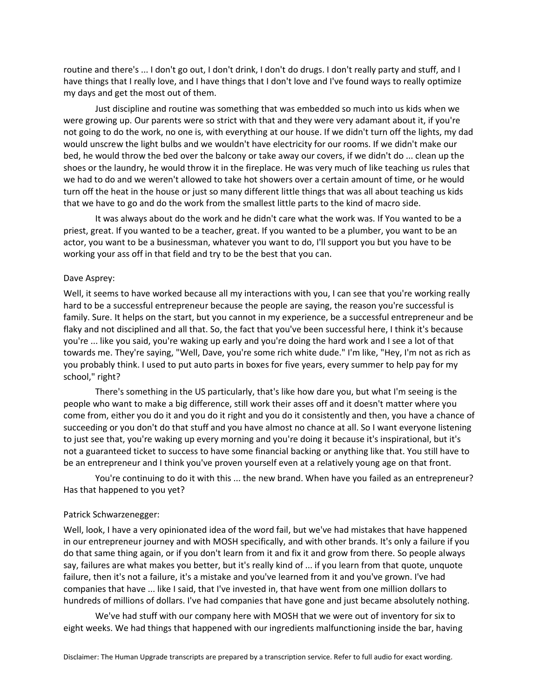routine and there's ... I don't go out, I don't drink, I don't do drugs. I don't really party and stuff, and I have things that I really love, and I have things that I don't love and I've found ways to really optimize my days and get the most out of them.

Just discipline and routine was something that was embedded so much into us kids when we were growing up. Our parents were so strict with that and they were very adamant about it, if you're not going to do the work, no one is, with everything at our house. If we didn't turn off the lights, my dad would unscrew the light bulbs and we wouldn't have electricity for our rooms. If we didn't make our bed, he would throw the bed over the balcony or take away our covers, if we didn't do ... clean up the shoes or the laundry, he would throw it in the fireplace. He was very much of like teaching us rules that we had to do and we weren't allowed to take hot showers over a certain amount of time, or he would turn off the heat in the house or just so many different little things that was all about teaching us kids that we have to go and do the work from the smallest little parts to the kind of macro side.

It was always about do the work and he didn't care what the work was. If You wanted to be a priest, great. If you wanted to be a teacher, great. If you wanted to be a plumber, you want to be an actor, you want to be a businessman, whatever you want to do, I'll support you but you have to be working your ass off in that field and try to be the best that you can.

#### Dave Asprey:

Well, it seems to have worked because all my interactions with you, I can see that you're working really hard to be a successful entrepreneur because the people are saying, the reason you're successful is family. Sure. It helps on the start, but you cannot in my experience, be a successful entrepreneur and be flaky and not disciplined and all that. So, the fact that you've been successful here, I think it's because you're ... like you said, you're waking up early and you're doing the hard work and I see a lot of that towards me. They're saying, "Well, Dave, you're some rich white dude." I'm like, "Hey, I'm not as rich as you probably think. I used to put auto parts in boxes for five years, every summer to help pay for my school," right?

There's something in the US particularly, that's like how dare you, but what I'm seeing is the people who want to make a big difference, still work their asses off and it doesn't matter where you come from, either you do it and you do it right and you do it consistently and then, you have a chance of succeeding or you don't do that stuff and you have almost no chance at all. So I want everyone listening to just see that, you're waking up every morning and you're doing it because it's inspirational, but it's not a guaranteed ticket to success to have some financial backing or anything like that. You still have to be an entrepreneur and I think you've proven yourself even at a relatively young age on that front.

You're continuing to do it with this ... the new brand. When have you failed as an entrepreneur? Has that happened to you yet?

#### Patrick Schwarzenegger:

Well, look, I have a very opinionated idea of the word fail, but we've had mistakes that have happened in our entrepreneur journey and with MOSH specifically, and with other brands. It's only a failure if you do that same thing again, or if you don't learn from it and fix it and grow from there. So people always say, failures are what makes you better, but it's really kind of ... if you learn from that quote, unquote failure, then it's not a failure, it's a mistake and you've learned from it and you've grown. I've had companies that have ... like I said, that I've invested in, that have went from one million dollars to hundreds of millions of dollars. I've had companies that have gone and just became absolutely nothing.

We've had stuff with our company here with MOSH that we were out of inventory for six to eight weeks. We had things that happened with our ingredients malfunctioning inside the bar, having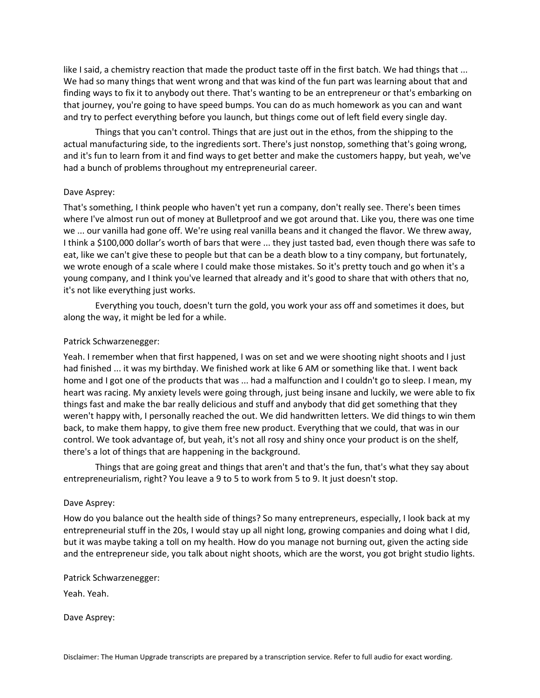like I said, a chemistry reaction that made the product taste off in the first batch. We had things that ... We had so many things that went wrong and that was kind of the fun part was learning about that and finding ways to fix it to anybody out there. That's wanting to be an entrepreneur or that's embarking on that journey, you're going to have speed bumps. You can do as much homework as you can and want and try to perfect everything before you launch, but things come out of left field every single day.

Things that you can't control. Things that are just out in the ethos, from the shipping to the actual manufacturing side, to the ingredients sort. There's just nonstop, something that's going wrong, and it's fun to learn from it and find ways to get better and make the customers happy, but yeah, we've had a bunch of problems throughout my entrepreneurial career.

## Dave Asprey:

That's something, I think people who haven't yet run a company, don't really see. There's been times where I've almost run out of money at Bulletproof and we got around that. Like you, there was one time we ... our vanilla had gone off. We're using real vanilla beans and it changed the flavor. We threw away, I think a \$100,000 dollar's worth of bars that were ... they just tasted bad, even though there was safe to eat, like we can't give these to people but that can be a death blow to a tiny company, but fortunately, we wrote enough of a scale where I could make those mistakes. So it's pretty touch and go when it's a young company, and I think you've learned that already and it's good to share that with others that no, it's not like everything just works.

Everything you touch, doesn't turn the gold, you work your ass off and sometimes it does, but along the way, it might be led for a while.

# Patrick Schwarzenegger:

Yeah. I remember when that first happened, I was on set and we were shooting night shoots and I just had finished ... it was my birthday. We finished work at like 6 AM or something like that. I went back home and I got one of the products that was ... had a malfunction and I couldn't go to sleep. I mean, my heart was racing. My anxiety levels were going through, just being insane and luckily, we were able to fix things fast and make the bar really delicious and stuff and anybody that did get something that they weren't happy with, I personally reached the out. We did handwritten letters. We did things to win them back, to make them happy, to give them free new product. Everything that we could, that was in our control. We took advantage of, but yeah, it's not all rosy and shiny once your product is on the shelf, there's a lot of things that are happening in the background.

Things that are going great and things that aren't and that's the fun, that's what they say about entrepreneurialism, right? You leave a 9 to 5 to work from 5 to 9. It just doesn't stop.

## Dave Asprey:

How do you balance out the health side of things? So many entrepreneurs, especially, I look back at my entrepreneurial stuff in the 20s, I would stay up all night long, growing companies and doing what I did, but it was maybe taking a toll on my health. How do you manage not burning out, given the acting side and the entrepreneur side, you talk about night shoots, which are the worst, you got bright studio lights.

Patrick Schwarzenegger:

Yeah. Yeah.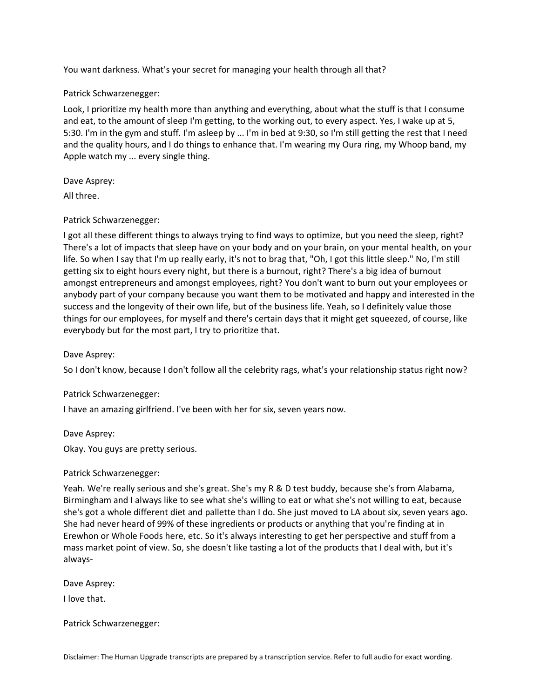You want darkness. What's your secret for managing your health through all that?

# Patrick Schwarzenegger:

Look, I prioritize my health more than anything and everything, about what the stuff is that I consume and eat, to the amount of sleep I'm getting, to the working out, to every aspect. Yes, I wake up at 5, 5:30. I'm in the gym and stuff. I'm asleep by ... I'm in bed at 9:30, so I'm still getting the rest that I need and the quality hours, and I do things to enhance that. I'm wearing my Oura ring, my Whoop band, my Apple watch my ... every single thing.

# Dave Asprey:

All three.

# Patrick Schwarzenegger:

I got all these different things to always trying to find ways to optimize, but you need the sleep, right? There's a lot of impacts that sleep have on your body and on your brain, on your mental health, on your life. So when I say that I'm up really early, it's not to brag that, "Oh, I got this little sleep." No, I'm still getting six to eight hours every night, but there is a burnout, right? There's a big idea of burnout amongst entrepreneurs and amongst employees, right? You don't want to burn out your employees or anybody part of your company because you want them to be motivated and happy and interested in the success and the longevity of their own life, but of the business life. Yeah, so I definitely value those things for our employees, for myself and there's certain days that it might get squeezed, of course, like everybody but for the most part, I try to prioritize that.

Dave Asprey:

So I don't know, because I don't follow all the celebrity rags, what's your relationship status right now?

# Patrick Schwarzenegger:

I have an amazing girlfriend. I've been with her for six, seven years now.

Dave Asprey:

Okay. You guys are pretty serious.

# Patrick Schwarzenegger:

Yeah. We're really serious and she's great. She's my R & D test buddy, because she's from Alabama, Birmingham and I always like to see what she's willing to eat or what she's not willing to eat, because she's got a whole different diet and pallette than I do. She just moved to LA about six, seven years ago. She had never heard of 99% of these ingredients or products or anything that you're finding at in Erewhon or Whole Foods here, etc. So it's always interesting to get her perspective and stuff from a mass market point of view. So, she doesn't like tasting a lot of the products that I deal with, but it's always-

Dave Asprey:

I love that.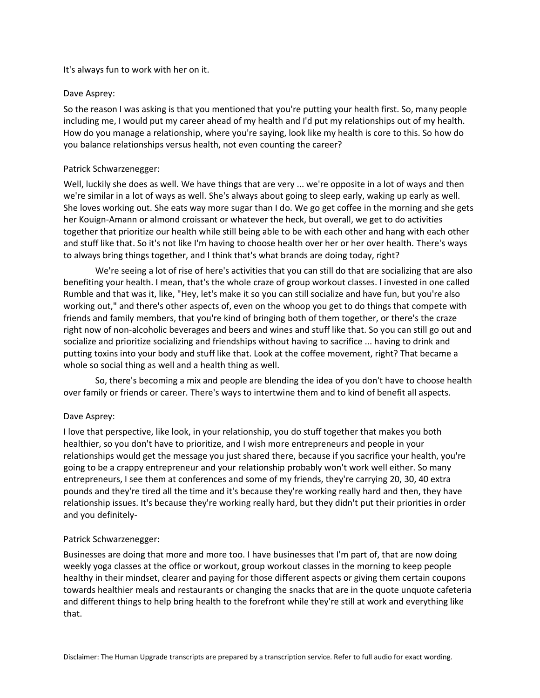# It's always fun to work with her on it.

## Dave Asprey:

So the reason I was asking is that you mentioned that you're putting your health first. So, many people including me, I would put my career ahead of my health and I'd put my relationships out of my health. How do you manage a relationship, where you're saying, look like my health is core to this. So how do you balance relationships versus health, not even counting the career?

# Patrick Schwarzenegger:

Well, luckily she does as well. We have things that are very ... we're opposite in a lot of ways and then we're similar in a lot of ways as well. She's always about going to sleep early, waking up early as well. She loves working out. She eats way more sugar than I do. We go get coffee in the morning and she gets her Kouign-Amann or almond croissant or whatever the heck, but overall, we get to do activities together that prioritize our health while still being able to be with each other and hang with each other and stuff like that. So it's not like I'm having to choose health over her or her over health. There's ways to always bring things together, and I think that's what brands are doing today, right?

We're seeing a lot of rise of here's activities that you can still do that are socializing that are also benefiting your health. I mean, that's the whole craze of group workout classes. I invested in one called Rumble and that was it, like, "Hey, let's make it so you can still socialize and have fun, but you're also working out," and there's other aspects of, even on the whoop you get to do things that compete with friends and family members, that you're kind of bringing both of them together, or there's the craze right now of non-alcoholic beverages and beers and wines and stuff like that. So you can still go out and socialize and prioritize socializing and friendships without having to sacrifice ... having to drink and putting toxins into your body and stuff like that. Look at the coffee movement, right? That became a whole so social thing as well and a health thing as well.

So, there's becoming a mix and people are blending the idea of you don't have to choose health over family or friends or career. There's ways to intertwine them and to kind of benefit all aspects.

# Dave Asprey:

I love that perspective, like look, in your relationship, you do stuff together that makes you both healthier, so you don't have to prioritize, and I wish more entrepreneurs and people in your relationships would get the message you just shared there, because if you sacrifice your health, you're going to be a crappy entrepreneur and your relationship probably won't work well either. So many entrepreneurs, I see them at conferences and some of my friends, they're carrying 20, 30, 40 extra pounds and they're tired all the time and it's because they're working really hard and then, they have relationship issues. It's because they're working really hard, but they didn't put their priorities in order and you definitely-

## Patrick Schwarzenegger:

Businesses are doing that more and more too. I have businesses that I'm part of, that are now doing weekly yoga classes at the office or workout, group workout classes in the morning to keep people healthy in their mindset, clearer and paying for those different aspects or giving them certain coupons towards healthier meals and restaurants or changing the snacks that are in the quote unquote cafeteria and different things to help bring health to the forefront while they're still at work and everything like that.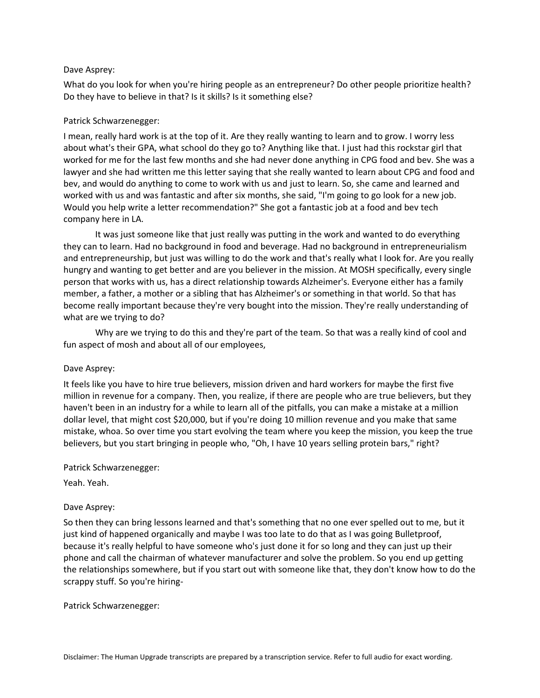What do you look for when you're hiring people as an entrepreneur? Do other people prioritize health? Do they have to believe in that? Is it skills? Is it something else?

# Patrick Schwarzenegger:

I mean, really hard work is at the top of it. Are they really wanting to learn and to grow. I worry less about what's their GPA, what school do they go to? Anything like that. I just had this rockstar girl that worked for me for the last few months and she had never done anything in CPG food and bev. She was a lawyer and she had written me this letter saying that she really wanted to learn about CPG and food and bev, and would do anything to come to work with us and just to learn. So, she came and learned and worked with us and was fantastic and after six months, she said, "I'm going to go look for a new job. Would you help write a letter recommendation?" She got a fantastic job at a food and bev tech company here in LA.

It was just someone like that just really was putting in the work and wanted to do everything they can to learn. Had no background in food and beverage. Had no background in entrepreneurialism and entrepreneurship, but just was willing to do the work and that's really what I look for. Are you really hungry and wanting to get better and are you believer in the mission. At MOSH specifically, every single person that works with us, has a direct relationship towards Alzheimer's. Everyone either has a family member, a father, a mother or a sibling that has Alzheimer's or something in that world. So that has become really important because they're very bought into the mission. They're really understanding of what are we trying to do?

Why are we trying to do this and they're part of the team. So that was a really kind of cool and fun aspect of mosh and about all of our employees,

## Dave Asprey:

It feels like you have to hire true believers, mission driven and hard workers for maybe the first five million in revenue for a company. Then, you realize, if there are people who are true believers, but they haven't been in an industry for a while to learn all of the pitfalls, you can make a mistake at a million dollar level, that might cost \$20,000, but if you're doing 10 million revenue and you make that same mistake, whoa. So over time you start evolving the team where you keep the mission, you keep the true believers, but you start bringing in people who, "Oh, I have 10 years selling protein bars," right?

# Patrick Schwarzenegger:

Yeah. Yeah.

# Dave Asprey:

So then they can bring lessons learned and that's something that no one ever spelled out to me, but it just kind of happened organically and maybe I was too late to do that as I was going Bulletproof, because it's really helpful to have someone who's just done it for so long and they can just up their phone and call the chairman of whatever manufacturer and solve the problem. So you end up getting the relationships somewhere, but if you start out with someone like that, they don't know how to do the scrappy stuff. So you're hiring-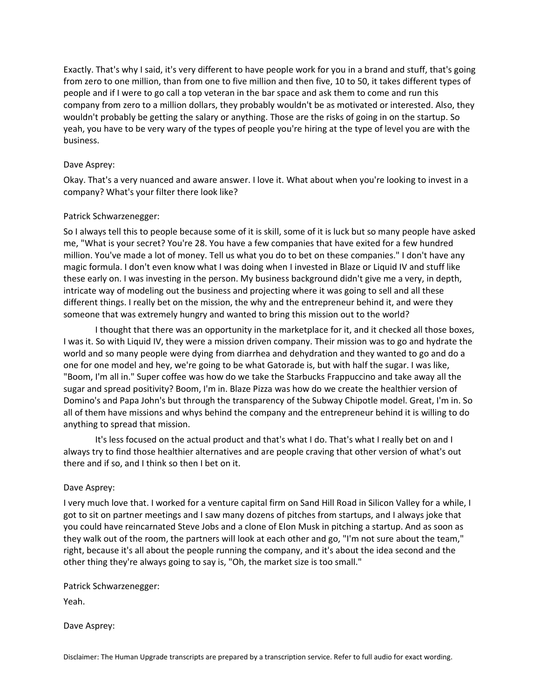Exactly. That's why I said, it's very different to have people work for you in a brand and stuff, that's going from zero to one million, than from one to five million and then five, 10 to 50, it takes different types of people and if I were to go call a top veteran in the bar space and ask them to come and run this company from zero to a million dollars, they probably wouldn't be as motivated or interested. Also, they wouldn't probably be getting the salary or anything. Those are the risks of going in on the startup. So yeah, you have to be very wary of the types of people you're hiring at the type of level you are with the business.

# Dave Asprey:

Okay. That's a very nuanced and aware answer. I love it. What about when you're looking to invest in a company? What's your filter there look like?

# Patrick Schwarzenegger:

So I always tell this to people because some of it is skill, some of it is luck but so many people have asked me, "What is your secret? You're 28. You have a few companies that have exited for a few hundred million. You've made a lot of money. Tell us what you do to bet on these companies." I don't have any magic formula. I don't even know what I was doing when I invested in Blaze or Liquid IV and stuff like these early on. I was investing in the person. My business background didn't give me a very, in depth, intricate way of modeling out the business and projecting where it was going to sell and all these different things. I really bet on the mission, the why and the entrepreneur behind it, and were they someone that was extremely hungry and wanted to bring this mission out to the world?

I thought that there was an opportunity in the marketplace for it, and it checked all those boxes, I was it. So with Liquid IV, they were a mission driven company. Their mission was to go and hydrate the world and so many people were dying from diarrhea and dehydration and they wanted to go and do a one for one model and hey, we're going to be what Gatorade is, but with half the sugar. I was like, "Boom, I'm all in." Super coffee was how do we take the Starbucks Frappuccino and take away all the sugar and spread positivity? Boom, I'm in. Blaze Pizza was how do we create the healthier version of Domino's and Papa John's but through the transparency of the Subway Chipotle model. Great, I'm in. So all of them have missions and whys behind the company and the entrepreneur behind it is willing to do anything to spread that mission.

It's less focused on the actual product and that's what I do. That's what I really bet on and I always try to find those healthier alternatives and are people craving that other version of what's out there and if so, and I think so then I bet on it.

## Dave Asprey:

I very much love that. I worked for a venture capital firm on Sand Hill Road in Silicon Valley for a while, I got to sit on partner meetings and I saw many dozens of pitches from startups, and I always joke that you could have reincarnated Steve Jobs and a clone of Elon Musk in pitching a startup. And as soon as they walk out of the room, the partners will look at each other and go, "I'm not sure about the team," right, because it's all about the people running the company, and it's about the idea second and the other thing they're always going to say is, "Oh, the market size is too small."

Patrick Schwarzenegger:

Yeah.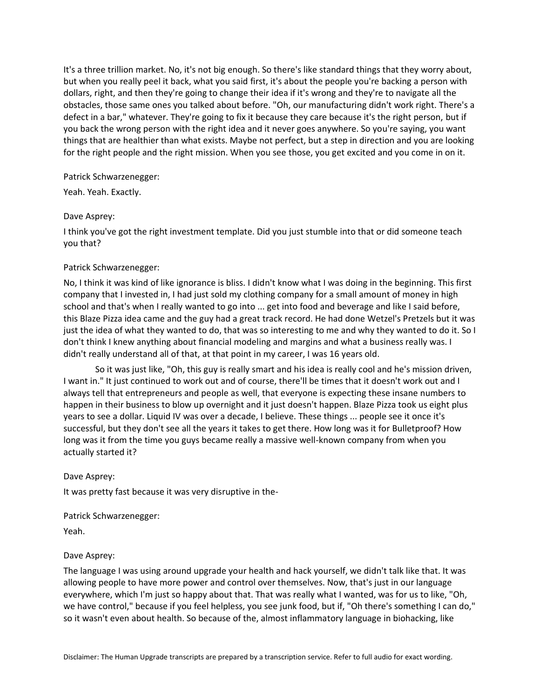It's a three trillion market. No, it's not big enough. So there's like standard things that they worry about, but when you really peel it back, what you said first, it's about the people you're backing a person with dollars, right, and then they're going to change their idea if it's wrong and they're to navigate all the obstacles, those same ones you talked about before. "Oh, our manufacturing didn't work right. There's a defect in a bar," whatever. They're going to fix it because they care because it's the right person, but if you back the wrong person with the right idea and it never goes anywhere. So you're saying, you want things that are healthier than what exists. Maybe not perfect, but a step in direction and you are looking for the right people and the right mission. When you see those, you get excited and you come in on it.

# Patrick Schwarzenegger:

Yeah. Yeah. Exactly.

# Dave Asprey:

I think you've got the right investment template. Did you just stumble into that or did someone teach you that?

# Patrick Schwarzenegger:

No, I think it was kind of like ignorance is bliss. I didn't know what I was doing in the beginning. This first company that I invested in, I had just sold my clothing company for a small amount of money in high school and that's when I really wanted to go into ... get into food and beverage and like I said before, this Blaze Pizza idea came and the guy had a great track record. He had done Wetzel's Pretzels but it was just the idea of what they wanted to do, that was so interesting to me and why they wanted to do it. So I don't think I knew anything about financial modeling and margins and what a business really was. I didn't really understand all of that, at that point in my career, I was 16 years old.

So it was just like, "Oh, this guy is really smart and his idea is really cool and he's mission driven, I want in." It just continued to work out and of course, there'll be times that it doesn't work out and I always tell that entrepreneurs and people as well, that everyone is expecting these insane numbers to happen in their business to blow up overnight and it just doesn't happen. Blaze Pizza took us eight plus years to see a dollar. Liquid IV was over a decade, I believe. These things ... people see it once it's successful, but they don't see all the years it takes to get there. How long was it for Bulletproof? How long was it from the time you guys became really a massive well-known company from when you actually started it?

## Dave Asprey:

It was pretty fast because it was very disruptive in the-

Patrick Schwarzenegger:

Yeah.

# Dave Asprey:

The language I was using around upgrade your health and hack yourself, we didn't talk like that. It was allowing people to have more power and control over themselves. Now, that's just in our language everywhere, which I'm just so happy about that. That was really what I wanted, was for us to like, "Oh, we have control," because if you feel helpless, you see junk food, but if, "Oh there's something I can do," so it wasn't even about health. So because of the, almost inflammatory language in biohacking, like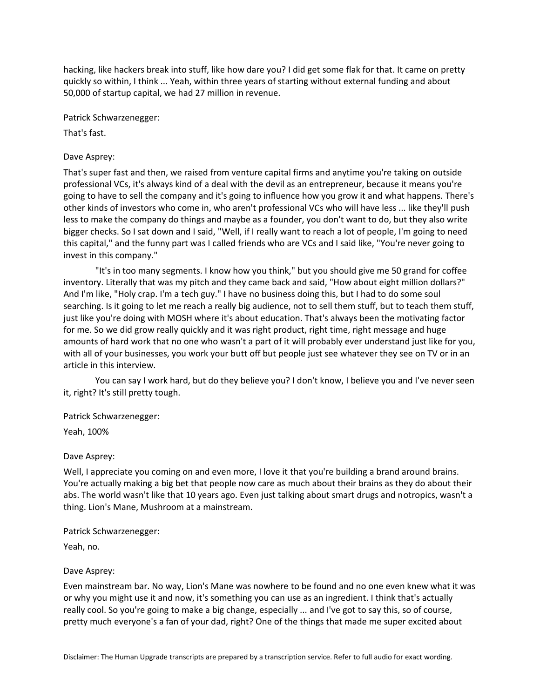hacking, like hackers break into stuff, like how dare you? I did get some flak for that. It came on pretty quickly so within, I think ... Yeah, within three years of starting without external funding and about 50,000 of startup capital, we had 27 million in revenue.

Patrick Schwarzenegger:

That's fast.

# Dave Asprey:

That's super fast and then, we raised from venture capital firms and anytime you're taking on outside professional VCs, it's always kind of a deal with the devil as an entrepreneur, because it means you're going to have to sell the company and it's going to influence how you grow it and what happens. There's other kinds of investors who come in, who aren't professional VCs who will have less ... like they'll push less to make the company do things and maybe as a founder, you don't want to do, but they also write bigger checks. So I sat down and I said, "Well, if I really want to reach a lot of people, I'm going to need this capital," and the funny part was I called friends who are VCs and I said like, "You're never going to invest in this company."

"It's in too many segments. I know how you think," but you should give me 50 grand for coffee inventory. Literally that was my pitch and they came back and said, "How about eight million dollars?" And I'm like, "Holy crap. I'm a tech guy." I have no business doing this, but I had to do some soul searching. Is it going to let me reach a really big audience, not to sell them stuff, but to teach them stuff, just like you're doing with MOSH where it's about education. That's always been the motivating factor for me. So we did grow really quickly and it was right product, right time, right message and huge amounts of hard work that no one who wasn't a part of it will probably ever understand just like for you, with all of your businesses, you work your butt off but people just see whatever they see on TV or in an article in this interview.

You can say I work hard, but do they believe you? I don't know, I believe you and I've never seen it, right? It's still pretty tough.

## Patrick Schwarzenegger:

Yeah, 100%

# Dave Asprey:

Well, I appreciate you coming on and even more, I love it that you're building a brand around brains. You're actually making a big bet that people now care as much about their brains as they do about their abs. The world wasn't like that 10 years ago. Even just talking about smart drugs and notropics, wasn't a thing. Lion's Mane, Mushroom at a mainstream.

## Patrick Schwarzenegger:

Yeah, no.

## Dave Asprey:

Even mainstream bar. No way, Lion's Mane was nowhere to be found and no one even knew what it was or why you might use it and now, it's something you can use as an ingredient. I think that's actually really cool. So you're going to make a big change, especially ... and I've got to say this, so of course, pretty much everyone's a fan of your dad, right? One of the things that made me super excited about